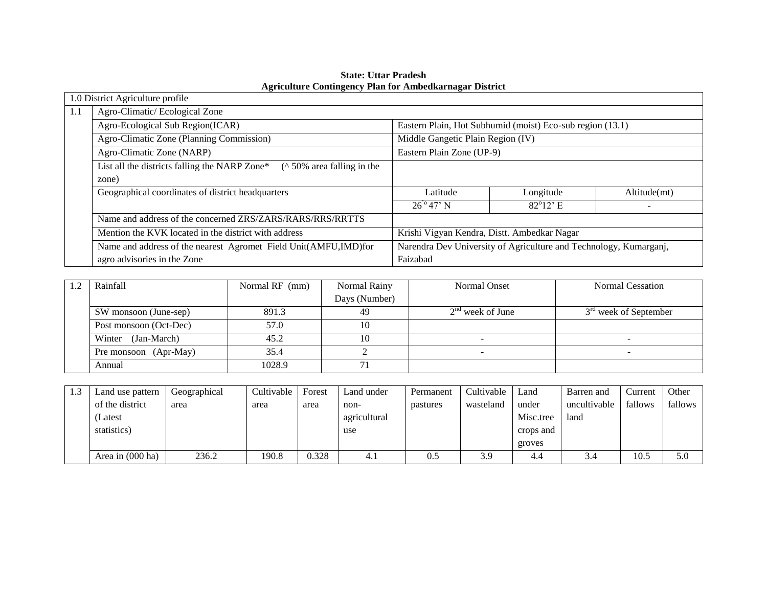|     | 1.0 District Agriculture profile                                                    |                                                                   |                    |              |  |  |
|-----|-------------------------------------------------------------------------------------|-------------------------------------------------------------------|--------------------|--------------|--|--|
| 1.1 | Agro-Climatic/Ecological Zone                                                       |                                                                   |                    |              |  |  |
|     | Agro-Ecological Sub Region(ICAR)                                                    | Eastern Plain, Hot Subhumid (moist) Eco-sub region (13.1)         |                    |              |  |  |
|     | Agro-Climatic Zone (Planning Commission)                                            | Middle Gangetic Plain Region (IV)                                 |                    |              |  |  |
|     | Agro-Climatic Zone (NARP)                                                           | Eastern Plain Zone (UP-9)                                         |                    |              |  |  |
|     | List all the districts falling the NARP Zone*<br>$($ \cdot 50\% area falling in the |                                                                   |                    |              |  |  |
|     | zone)                                                                               |                                                                   |                    |              |  |  |
|     | Geographical coordinates of district headquarters                                   | Latitude                                                          | Longitude          | Altitude(mt) |  |  |
|     |                                                                                     | $26^{\circ}47^{\circ}$ N                                          | $82^{\circ}12$ ' E |              |  |  |
|     | Name and address of the concerned ZRS/ZARS/RARS/RRS/RRTTS                           |                                                                   |                    |              |  |  |
|     | Mention the KVK located in the district with address                                | Krishi Vigyan Kendra, Distt. Ambedkar Nagar                       |                    |              |  |  |
|     | Name and address of the nearest Agromet Field Unit(AMFU, IMD) for                   | Narendra Dev University of Agriculture and Technology, Kumarganj, |                    |              |  |  |
|     | agro advisories in the Zone                                                         | Faizabad                                                          |                    |              |  |  |

**State: Uttar Pradesh Agriculture Contingency Plan for Ambedkarnagar District** 

| Rainfall               | Normal RF (mm) | Normal Rainy  | Normal Onset       | <b>Normal Cessation</b>           |
|------------------------|----------------|---------------|--------------------|-----------------------------------|
|                        |                | Days (Number) |                    |                                   |
| SW monsoon (June-sep)  | 891.3          | 49            | $2nd$ week of June | 3 <sup>rd</sup> week of September |
| Post monsoon (Oct-Dec) | 57.0           |               |                    |                                   |
| Winter (Jan-March)     | 45.2           |               |                    |                                   |
| Pre monsoon (Apr-May)  | 35.4           |               |                    |                                   |
| Annual                 | 1028.9         |               |                    |                                   |

| Land use pattern           | Geographical | Cultivable | Forest | Land under   | Permanent | Cultivable | Land      | Barren and   | Current | Other   |
|----------------------------|--------------|------------|--------|--------------|-----------|------------|-----------|--------------|---------|---------|
| of the district            | area         | area       | area   | non-         | pastures  | wasteland  | under     | uncultivable | fallows | fallows |
| (Latest                    |              |            |        | agricultural |           |            | Misc.tree | land         |         |         |
| statistics)                |              |            |        | use          |           |            | crops and |              |         |         |
|                            |              |            |        |              |           |            | groves    |              |         |         |
| Area in $(000 \text{ ha})$ | 236.2        | 190.8      | 0.328  | 4.1          | 0.5       | 3.9        | 4.4       | 3.4          | 10.5    | 5.0     |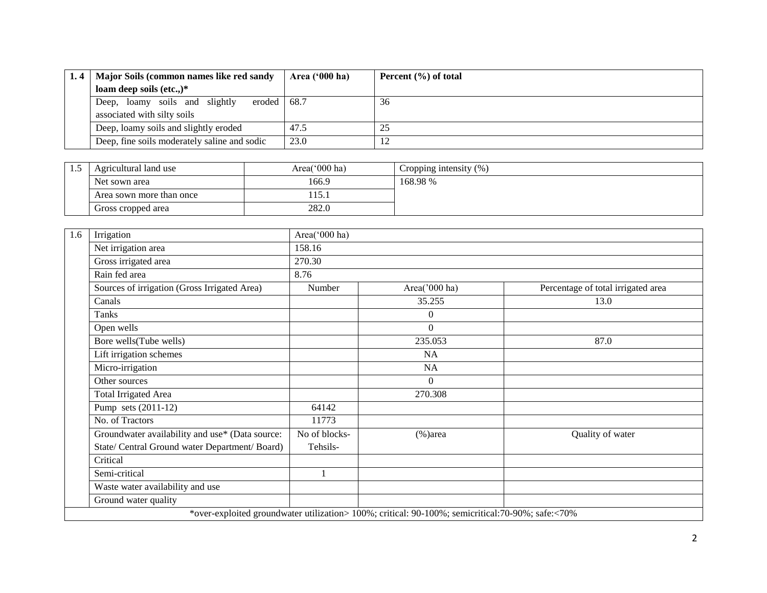| Major Soils (common names like red sandy                                       | Area $(900 \text{ ha})$ | Percent $(\% )$ of total |
|--------------------------------------------------------------------------------|-------------------------|--------------------------|
| loam deep soils (etc.,) $*$                                                    |                         |                          |
| eroded $68.7$<br>Deep, loamy soils and slightly<br>associated with silty soils |                         | 36                       |
| Deep, loamy soils and slightly eroded                                          | 47.5                    | ن                        |
| Deep, fine soils moderately saline and sodic                                   | 23.0                    |                          |

| <br>Agricultural land use | Area( $000$ ha) | Cropping intensity $(\%)$ |
|---------------------------|-----------------|---------------------------|
| Net sown area             | 166.9           | 168.98%                   |
| Area sown more than once  | 1 1 J . 1       |                           |
| Gross cropped area        | 282.0           |                           |

| 1.6 | Irrigation                                      | Area('000 ha) |                                                                                                  |                                    |
|-----|-------------------------------------------------|---------------|--------------------------------------------------------------------------------------------------|------------------------------------|
|     | Net irrigation area                             | 158.16        |                                                                                                  |                                    |
|     | Gross irrigated area                            | 270.30        |                                                                                                  |                                    |
|     | Rain fed area                                   | 8.76          |                                                                                                  |                                    |
|     | Sources of irrigation (Gross Irrigated Area)    | Number        | Area('000 ha)                                                                                    | Percentage of total irrigated area |
|     | Canals                                          |               | 35.255                                                                                           | 13.0                               |
|     | Tanks                                           |               | $\overline{0}$                                                                                   |                                    |
|     | Open wells                                      |               | $\Omega$                                                                                         |                                    |
|     | Bore wells(Tube wells)                          |               | 235.053                                                                                          | 87.0                               |
|     | Lift irrigation schemes                         |               | <b>NA</b>                                                                                        |                                    |
|     | Micro-irrigation                                |               | NA                                                                                               |                                    |
|     | Other sources                                   |               | $\Omega$                                                                                         |                                    |
|     | <b>Total Irrigated Area</b>                     |               | 270.308                                                                                          |                                    |
|     | Pump sets (2011-12)                             | 64142         |                                                                                                  |                                    |
|     | No. of Tractors                                 | 11773         |                                                                                                  |                                    |
|     | Groundwater availability and use* (Data source: | No of blocks- | $(\% )$ area                                                                                     | Quality of water                   |
|     | State/ Central Ground water Department/ Board)  | Tehsils-      |                                                                                                  |                                    |
|     | Critical                                        |               |                                                                                                  |                                    |
|     | Semi-critical                                   |               |                                                                                                  |                                    |
|     | Waste water availability and use                |               |                                                                                                  |                                    |
|     | Ground water quality                            |               |                                                                                                  |                                    |
|     |                                                 |               | *over-exploited groundwater utilization> 100%; critical: 90-100%; semicritical:70-90%; safe:<70% |                                    |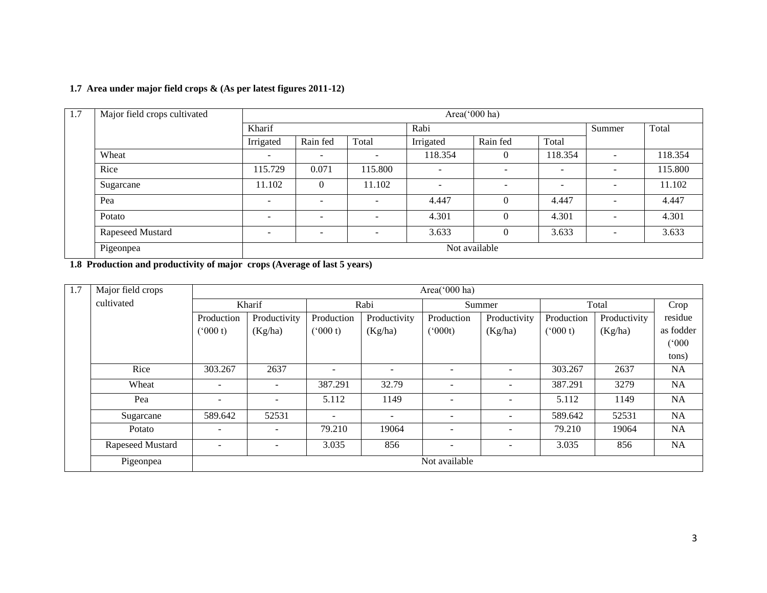## **1.7 Area under major field crops & (As per latest figures 2011-12)**

| 1.7 | Major field crops cultivated |                          | Area('000 ha)            |                          |                          |                          |                          |                          |         |  |  |
|-----|------------------------------|--------------------------|--------------------------|--------------------------|--------------------------|--------------------------|--------------------------|--------------------------|---------|--|--|
|     |                              | Kharif                   |                          |                          | Rabi                     |                          |                          | Summer                   | Total   |  |  |
|     |                              | Irrigated                | Rain fed                 | Total                    | Irrigated                | Rain fed                 | Total                    |                          |         |  |  |
|     | Wheat                        | -                        | $\overline{\phantom{a}}$ | $\overline{\phantom{a}}$ | 118.354                  | $\Omega$                 | 118.354                  | $\overline{\phantom{a}}$ | 118.354 |  |  |
|     | Rice                         | 115.729                  | 0.071                    | 115.800                  | $\overline{\phantom{0}}$ | -                        | $\overline{\phantom{0}}$ | $\overline{\phantom{a}}$ | 115.800 |  |  |
|     | Sugarcane                    | 11.102                   | $\theta$                 | 11.102                   | $\sim$                   | $\overline{\phantom{0}}$ | $\overline{\phantom{a}}$ | $\overline{\phantom{a}}$ | 11.102  |  |  |
|     | Pea                          | -                        | $\overline{\phantom{a}}$ | $\overline{\phantom{a}}$ | 4.447                    | $\Omega$                 | 4.447                    | $\overline{\phantom{a}}$ | 4.447   |  |  |
|     | Potato                       | $\overline{\phantom{a}}$ | $\overline{\phantom{a}}$ | $\overline{\phantom{a}}$ | 4.301                    | $\Omega$                 | 4.301                    | $\overline{\phantom{a}}$ | 4.301   |  |  |
|     | Rapeseed Mustard             | $\overline{\phantom{a}}$ | $\overline{\phantom{a}}$ | $\overline{\phantom{a}}$ | 3.633                    | $\Omega$                 | 3.633                    | $\overline{\phantom{a}}$ | 3.633   |  |  |
|     | Pigeonpea                    | Not available            |                          |                          |                          |                          |                          |                          |         |  |  |

**1.8 Production and productivity of major crops (Average of last 5 years)**

| 1.7 | Major field crops |                          | Area(' $000$ ha)         |                          |                          |                          |                          |               |              |           |  |
|-----|-------------------|--------------------------|--------------------------|--------------------------|--------------------------|--------------------------|--------------------------|---------------|--------------|-----------|--|
|     | cultivated        |                          | Kharif                   |                          | Rabi                     |                          | Summer                   |               | Total        |           |  |
|     |                   | Production               | Productivity             | Production               | Productivity             | Production               | Productivity             | Production    | Productivity | residue   |  |
|     |                   | (000 t)                  | (Kg/ha)                  | (000 t)                  | (Kg/ha)                  | $(^{o}000t)$             | (Kg/ha)                  | $(^{o}000 t)$ | (Kg/ha)      | as fodder |  |
|     |                   |                          |                          |                          |                          |                          |                          |               |              | (°000)    |  |
|     |                   |                          |                          |                          |                          |                          |                          |               |              | tons)     |  |
|     | Rice              | 303.267                  | 2637                     | $\overline{\phantom{a}}$ | $\overline{\phantom{a}}$ | $\overline{\phantom{a}}$ | $\overline{\phantom{0}}$ | 303.267       | 2637         | NA        |  |
|     | Wheat             | $\overline{\phantom{0}}$ | $\overline{\phantom{a}}$ | 387.291                  | 32.79                    | $\overline{\phantom{a}}$ | $\overline{\phantom{0}}$ | 387.291       | 3279         | <b>NA</b> |  |
|     | Pea               | $\overline{\phantom{0}}$ | $\overline{\phantom{a}}$ | 5.112                    | 1149                     | $\blacksquare$           | $\overline{\phantom{0}}$ | 5.112         | 1149         | <b>NA</b> |  |
|     | Sugarcane         | 589.642                  | 52531                    | ۰                        | $\overline{\phantom{a}}$ | $\overline{\phantom{a}}$ | $\sim$                   | 589.642       | 52531        | <b>NA</b> |  |
|     | Potato            |                          | $\overline{\phantom{0}}$ | 79.210                   | 19064                    |                          | $\overline{\phantom{a}}$ | 79.210        | 19064        | <b>NA</b> |  |
|     | Rapeseed Mustard  |                          | $\overline{\phantom{a}}$ | 3.035                    | 856                      | $\overline{\phantom{a}}$ | $\overline{\phantom{a}}$ | 3.035         | 856          | <b>NA</b> |  |
|     | Pigeonpea         |                          |                          |                          |                          | Not available            |                          |               |              |           |  |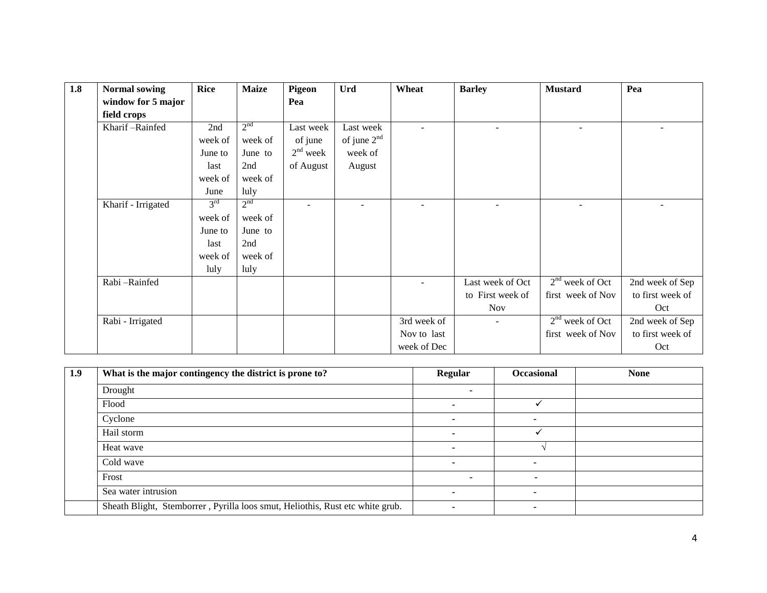| 1.8 | <b>Normal sowing</b> | <b>Rice</b>     | <b>Maize</b>    | Pigeon                   | <b>Urd</b>    | Wheat       | <b>Barley</b>    | <b>Mustard</b>           | Pea              |
|-----|----------------------|-----------------|-----------------|--------------------------|---------------|-------------|------------------|--------------------------|------------------|
|     | window for 5 major   |                 |                 | Pea                      |               |             |                  |                          |                  |
|     | field crops          |                 |                 |                          |               |             |                  |                          |                  |
|     | Kharif-Rainfed       | 2nd             | 2 <sup>nd</sup> | Last week                | Last week     |             |                  | $\overline{\phantom{a}}$ |                  |
|     |                      | week of         | week of         | of june                  | of june $2nd$ |             |                  |                          |                  |
|     |                      | June to         | June to         | $2nd$ week               | week of       |             |                  |                          |                  |
|     |                      | last            | 2nd             | of August                | August        |             |                  |                          |                  |
|     |                      | week of         | week of         |                          |               |             |                  |                          |                  |
|     |                      | June            | luly            |                          |               |             |                  |                          |                  |
|     | Kharif - Irrigated   | 3 <sup>rd</sup> | 2 <sup>nd</sup> | $\overline{\phantom{a}}$ |               |             | ۰                | $\overline{\phantom{a}}$ |                  |
|     |                      | week of         | week of         |                          |               |             |                  |                          |                  |
|     |                      | June to         | June to         |                          |               |             |                  |                          |                  |
|     |                      | last            | 2nd             |                          |               |             |                  |                          |                  |
|     |                      | week of         | week of         |                          |               |             |                  |                          |                  |
|     |                      | luly            | luly            |                          |               |             |                  |                          |                  |
|     | Rabi-Rainfed         |                 |                 |                          |               |             | Last week of Oct | $2nd$ week of Oct        | 2nd week of Sep  |
|     |                      |                 |                 |                          |               |             | to First week of | first week of Nov        | to first week of |
|     |                      |                 |                 |                          |               |             | <b>Nov</b>       |                          | Oct              |
|     | Rabi - Irrigated     |                 |                 |                          |               | 3rd week of |                  | $2nd$ week of Oct        | 2nd week of Sep  |
|     |                      |                 |                 |                          |               | Nov to last |                  | first week of Nov        | to first week of |
|     |                      |                 |                 |                          |               | week of Dec |                  |                          | Oct              |

| 1.9 | What is the major contingency the district is prone to?                       | <b>Regular</b> | Occasional | <b>None</b> |
|-----|-------------------------------------------------------------------------------|----------------|------------|-------------|
|     | Drought                                                                       |                |            |             |
|     | Flood                                                                         |                |            |             |
|     | Cyclone                                                                       |                |            |             |
|     | Hail storm                                                                    |                |            |             |
|     | Heat wave                                                                     |                |            |             |
|     | Cold wave                                                                     |                |            |             |
|     | Frost                                                                         |                |            |             |
|     | Sea water intrusion                                                           |                |            |             |
|     | Sheath Blight, Stemborrer, Pyrilla loos smut, Heliothis, Rust etc white grub. |                |            |             |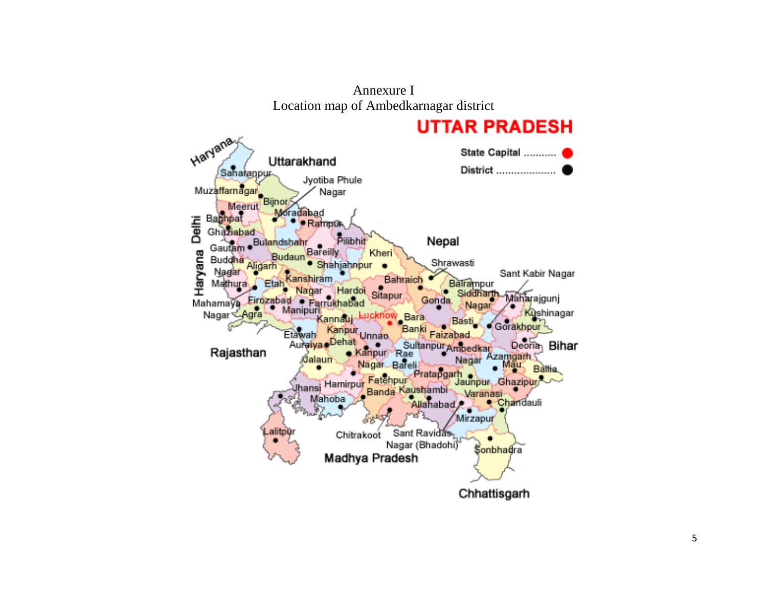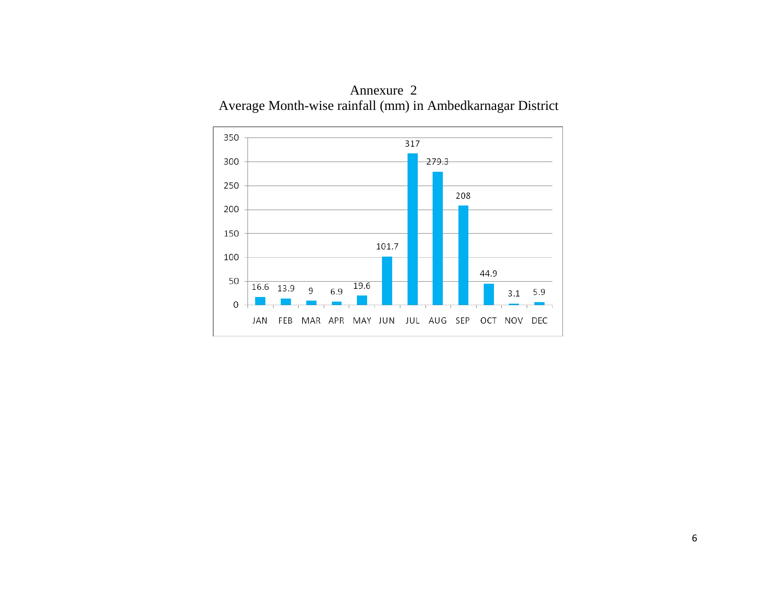

Annexure 2 Average Month-wise rainfall (mm) in Ambedkarnagar District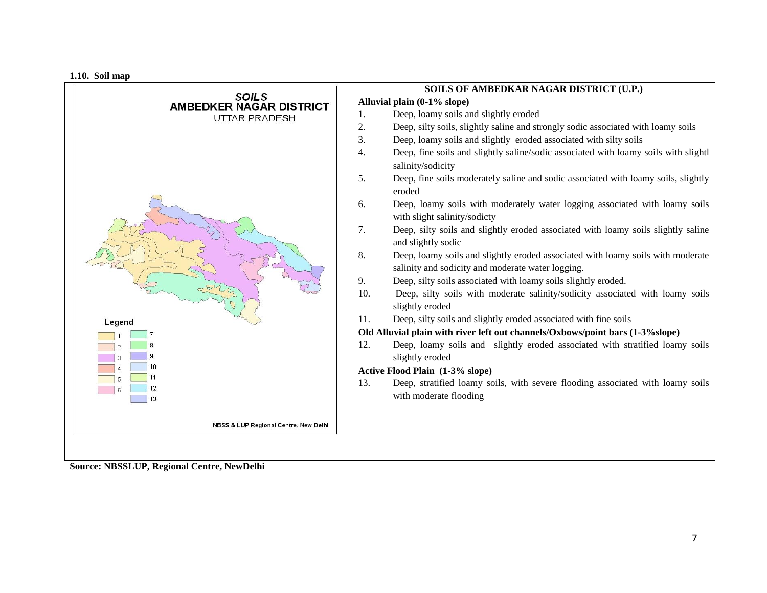**1.10. Soil map**



**Source: NBSSLUP, Regional Centre, NewDelhi**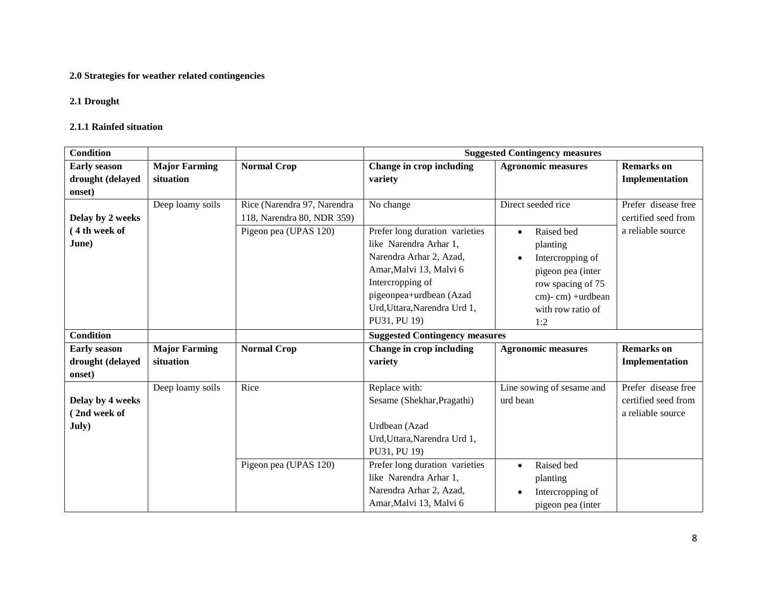## **2.0 Strategies for weather related contingencies**

#### **2.1 Drought**

#### **2.1.1 Rainfed situation**

| <b>Condition</b>                                  |                                   |                                                           | <b>Suggested Contingency measures</b>                                                                                                                                                                         |                                                                                                                                                   |                                                                 |  |  |  |
|---------------------------------------------------|-----------------------------------|-----------------------------------------------------------|---------------------------------------------------------------------------------------------------------------------------------------------------------------------------------------------------------------|---------------------------------------------------------------------------------------------------------------------------------------------------|-----------------------------------------------------------------|--|--|--|
| <b>Early season</b><br>drought (delayed<br>onset) | <b>Major Farming</b><br>situation | <b>Normal Crop</b>                                        | Change in crop including<br>variety                                                                                                                                                                           | <b>Agronomic measures</b>                                                                                                                         | <b>Remarks</b> on<br>Implementation                             |  |  |  |
| Delay by 2 weeks                                  | Deep loamy soils                  | Rice (Narendra 97, Narendra<br>118, Narendra 80, NDR 359) | No change                                                                                                                                                                                                     | Direct seeded rice                                                                                                                                | Prefer disease free<br>certified seed from                      |  |  |  |
| 4 th week of<br>June)                             |                                   | Pigeon pea (UPAS 120)                                     | Prefer long duration varieties<br>like Narendra Arhar 1,<br>Narendra Arhar 2, Azad,<br>Amar, Malvi 13, Malvi 6<br>Intercropping of<br>pigeonpea+urdbean (Azad<br>Urd, Uttara, Narendra Urd 1,<br>PU31, PU 19) | Raised bed<br>$\bullet$<br>planting<br>Intercropping of<br>pigeon pea (inter<br>row spacing of 75<br>cm)-cm) +urdbean<br>with row ratio of<br>1:2 | a reliable source                                               |  |  |  |
| <b>Condition</b>                                  |                                   |                                                           | <b>Suggested Contingency measures</b>                                                                                                                                                                         |                                                                                                                                                   |                                                                 |  |  |  |
| <b>Early season</b><br>drought (delayed<br>onset) | <b>Major Farming</b><br>situation | <b>Normal Crop</b>                                        | Change in crop including<br>variety                                                                                                                                                                           | <b>Agronomic measures</b>                                                                                                                         | <b>Remarks</b> on<br>Implementation                             |  |  |  |
| Delay by 4 weeks<br>2nd week of<br>July)          | Deep loamy soils                  | Rice                                                      | Replace with:<br>Sesame (Shekhar, Pragathi)<br>Urdbean (Azad<br>Urd, Uttara, Narendra Urd 1,<br>PU31, PU 19)                                                                                                  | Line sowing of sesame and<br>urd bean                                                                                                             | Prefer disease free<br>certified seed from<br>a reliable source |  |  |  |
|                                                   |                                   | Pigeon pea (UPAS 120)                                     | Prefer long duration varieties<br>like Narendra Arhar 1,<br>Narendra Arhar 2, Azad,<br>Amar, Malvi 13, Malvi 6                                                                                                | Raised bed<br>$\bullet$<br>planting<br>Intercropping of<br>pigeon pea (inter                                                                      |                                                                 |  |  |  |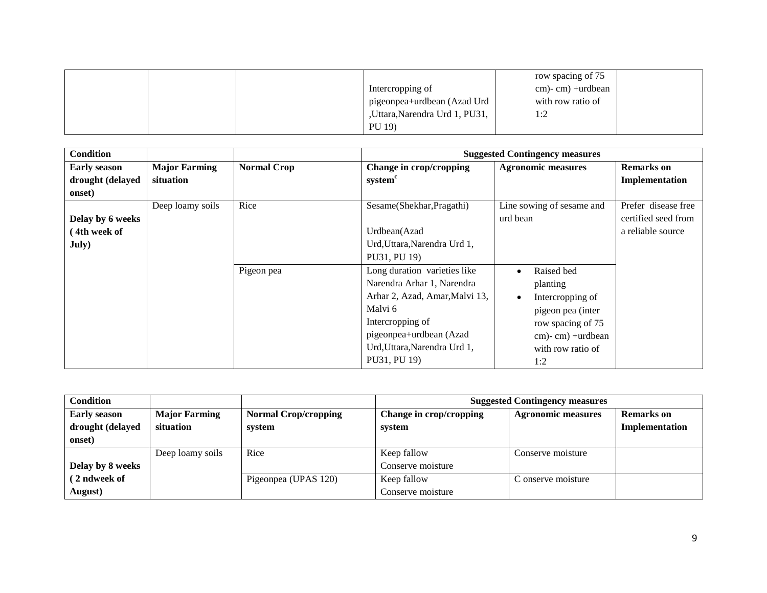|  |                                 | row spacing of 75  |  |
|--|---------------------------------|--------------------|--|
|  | Intercropping of                | $cm$ -cm) +urdbean |  |
|  | l pigeonpea+urdbean (Azad Urd 1 | with row ratio of  |  |
|  | ,Uttara,Narendra Urd 1, PU31,   | 1:2                |  |
|  | PU 19)                          |                    |  |

| <b>Condition</b>    |                      |                    |                                | <b>Suggested Contingency measures</b> |                     |
|---------------------|----------------------|--------------------|--------------------------------|---------------------------------------|---------------------|
| <b>Early season</b> | <b>Major Farming</b> | <b>Normal Crop</b> | Change in crop/cropping        | <b>Agronomic measures</b>             | <b>Remarks</b> on   |
| drought (delayed    | situation            |                    | system <sup>c</sup>            |                                       | Implementation      |
| onset)              |                      |                    |                                |                                       |                     |
|                     | Deep loamy soils     | Rice               | Sesame(Shekhar, Pragathi)      | Line sowing of sesame and             | Prefer disease free |
| Delay by 6 weeks    |                      |                    |                                | urd bean                              | certified seed from |
| 4th week of         |                      |                    | Urdbean(Azad                   |                                       | a reliable source   |
| July)               |                      |                    | Urd, Uttara, Narendra Urd 1,   |                                       |                     |
|                     |                      |                    | PU31, PU 19)                   |                                       |                     |
|                     |                      | Pigeon pea         | Long duration varieties like   | Raised bed<br>$\bullet$               |                     |
|                     |                      |                    | Narendra Arhar 1, Narendra     | planting                              |                     |
|                     |                      |                    | Arhar 2, Azad, Amar, Malvi 13, | Intercropping of<br>$\bullet$         |                     |
|                     |                      |                    | Malvi 6                        | pigeon pea (inter                     |                     |
|                     |                      |                    | Intercropping of               | row spacing of 75                     |                     |
|                     |                      |                    | pigeonpea+urdbean (Azad        | $cm$ -cm) +urdbean                    |                     |
|                     |                      |                    | Urd, Uttara, Narendra Urd 1,   | with row ratio of                     |                     |
|                     |                      |                    | PU31, PU 19)                   | 1:2                                   |                     |

| <b>Condition</b>    |                      |                             | <b>Suggested Contingency measures</b> |                           |                   |
|---------------------|----------------------|-----------------------------|---------------------------------------|---------------------------|-------------------|
| <b>Early season</b> | <b>Major Farming</b> | <b>Normal Crop/cropping</b> | Change in crop/cropping               | <b>Agronomic measures</b> | <b>Remarks</b> on |
| drought (delayed    | situation            | system                      | system                                |                           | Implementation    |
| onset)              |                      |                             |                                       |                           |                   |
|                     | Deep loamy soils     | Rice                        | Keep fallow                           | Conserve moisture         |                   |
| Delay by 8 weeks    |                      |                             | Conserve moisture                     |                           |                   |
| (2 ndweek of        |                      | Pigeonpea (UPAS 120)        | Keep fallow                           | C onserve moisture        |                   |
| August)             |                      |                             | Conserve moisture                     |                           |                   |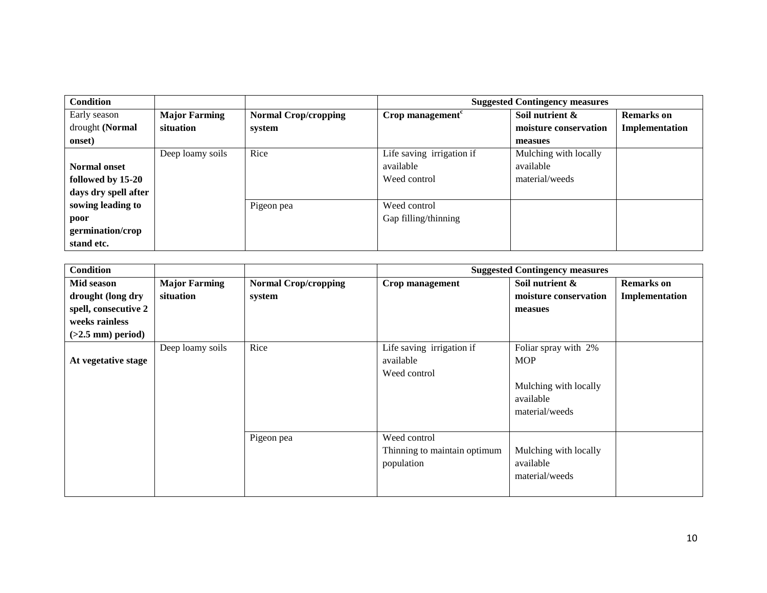| <b>Condition</b>     |                      |                             | <b>Suggested Contingency measures</b>       |                       |                   |
|----------------------|----------------------|-----------------------------|---------------------------------------------|-----------------------|-------------------|
| Early season         | <b>Major Farming</b> | <b>Normal Crop/cropping</b> | $Crop$ management <sup><math>c</math></sup> | Soil nutrient &       | <b>Remarks</b> on |
| drought (Normal      | situation            | system                      |                                             | moisture conservation | Implementation    |
| onset)               |                      |                             |                                             | measues               |                   |
|                      | Deep loamy soils     | Rice                        | Life saving irrigation if                   | Mulching with locally |                   |
| <b>Normal onset</b>  |                      |                             | available                                   | available             |                   |
| followed by 15-20    |                      |                             | Weed control                                | material/weeds        |                   |
| days dry spell after |                      |                             |                                             |                       |                   |
| sowing leading to    |                      | Pigeon pea                  | Weed control                                |                       |                   |
| poor                 |                      |                             | Gap filling/thinning                        |                       |                   |
| germination/crop     |                      |                             |                                             |                       |                   |
| stand etc.           |                      |                             |                                             |                       |                   |

| <b>Condition</b>     |                      |                             |                              | <b>Suggested Contingency measures</b> |                   |
|----------------------|----------------------|-----------------------------|------------------------------|---------------------------------------|-------------------|
| Mid season           | <b>Major Farming</b> | <b>Normal Crop/cropping</b> | Crop management              | Soil nutrient &                       | <b>Remarks</b> on |
| drought (long dry    | situation            | system                      |                              | moisture conservation                 | Implementation    |
| spell, consecutive 2 |                      |                             |                              | measues                               |                   |
| weeks rainless       |                      |                             |                              |                                       |                   |
| $(>2.5$ mm) period)  |                      |                             |                              |                                       |                   |
|                      | Deep loamy soils     | Rice                        | Life saving irrigation if    | Foliar spray with 2%                  |                   |
| At vegetative stage  |                      |                             | available                    | <b>MOP</b>                            |                   |
|                      |                      |                             | Weed control                 |                                       |                   |
|                      |                      |                             |                              | Mulching with locally                 |                   |
|                      |                      |                             |                              | available                             |                   |
|                      |                      |                             |                              | material/weeds                        |                   |
|                      |                      |                             |                              |                                       |                   |
|                      |                      | Pigeon pea                  | Weed control                 |                                       |                   |
|                      |                      |                             | Thinning to maintain optimum | Mulching with locally                 |                   |
|                      |                      |                             | population                   | available                             |                   |
|                      |                      |                             |                              | material/weeds                        |                   |
|                      |                      |                             |                              |                                       |                   |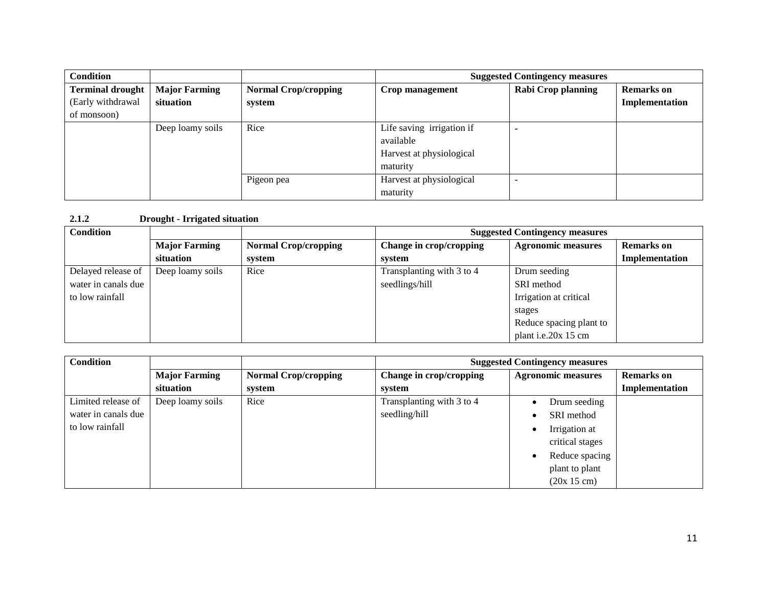| <b>Condition</b>        |                      |                             | <b>Suggested Contingency measures</b> |                           |                   |
|-------------------------|----------------------|-----------------------------|---------------------------------------|---------------------------|-------------------|
| <b>Terminal drought</b> | <b>Major Farming</b> | <b>Normal Crop/cropping</b> | Crop management                       | <b>Rabi Crop planning</b> | <b>Remarks</b> on |
| (Early withdrawal       | situation            | system                      |                                       |                           | Implementation    |
| of monsoon)             |                      |                             |                                       |                           |                   |
|                         | Deep loamy soils     | Rice                        | Life saving irrigation if             |                           |                   |
|                         |                      |                             | available                             |                           |                   |
|                         |                      |                             | Harvest at physiological              |                           |                   |
|                         |                      |                             | maturity                              |                           |                   |
|                         |                      | Pigeon pea                  | Harvest at physiological              |                           |                   |
|                         |                      |                             | maturity                              |                           |                   |

## **2.1.2 Drought - Irrigated situation**

| <b>Condition</b>    |                      |                             | <b>Suggested Contingency measures</b> |                           |                   |
|---------------------|----------------------|-----------------------------|---------------------------------------|---------------------------|-------------------|
|                     | <b>Major Farming</b> | <b>Normal Crop/cropping</b> | Change in crop/cropping               | <b>Agronomic measures</b> | <b>Remarks</b> on |
|                     | situation            | system                      | system                                |                           | Implementation    |
| Delayed release of  | Deep loamy soils     | Rice                        | Transplanting with 3 to 4             | Drum seeding              |                   |
| water in canals due |                      |                             | seedlings/hill                        | SRI method                |                   |
| to low rainfall     |                      |                             |                                       | Irrigation at critical    |                   |
|                     |                      |                             |                                       | stages                    |                   |
|                     |                      |                             |                                       | Reduce spacing plant to   |                   |
|                     |                      |                             |                                       | plant i.e.20x 15 cm       |                   |

| <b>Condition</b>    |                      |                             | <b>Suggested Contingency measures</b> |                           |                   |
|---------------------|----------------------|-----------------------------|---------------------------------------|---------------------------|-------------------|
|                     | <b>Major Farming</b> | <b>Normal Crop/cropping</b> | Change in crop/cropping               | <b>Agronomic measures</b> | <b>Remarks</b> on |
|                     | situation            | system                      | system                                |                           | Implementation    |
| Limited release of  | Deep loamy soils     | Rice                        | Transplanting with 3 to 4             | Drum seeding              |                   |
| water in canals due |                      |                             | seedling/hill                         | SRI method                |                   |
| to low rainfall     |                      |                             |                                       | Irrigation at             |                   |
|                     |                      |                             |                                       | critical stages           |                   |
|                     |                      |                             |                                       | Reduce spacing            |                   |
|                     |                      |                             |                                       | plant to plant            |                   |
|                     |                      |                             |                                       | (20x 15 cm)               |                   |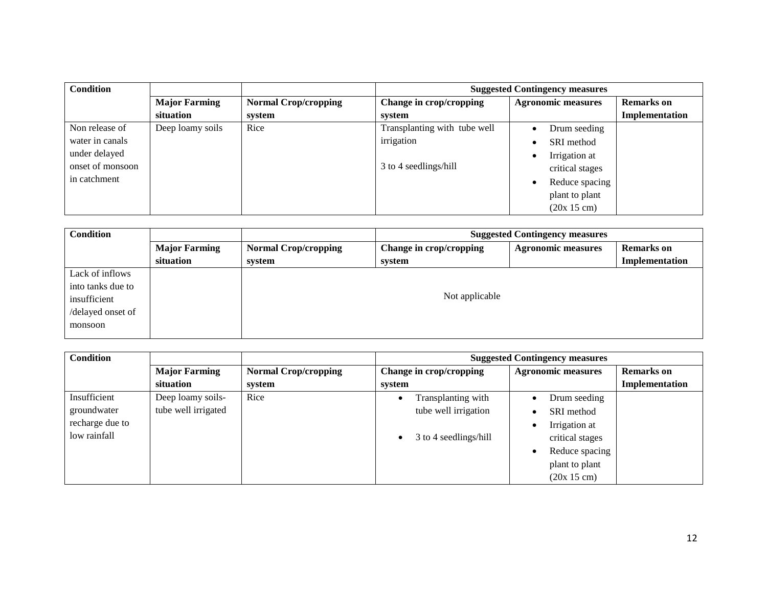| <b>Condition</b> |                      |                             | <b>Suggested Contingency measures</b> |                           |                   |
|------------------|----------------------|-----------------------------|---------------------------------------|---------------------------|-------------------|
|                  | <b>Major Farming</b> | <b>Normal Crop/cropping</b> | Change in crop/cropping               | <b>Agronomic measures</b> | <b>Remarks</b> on |
|                  | situation            | system                      | system                                |                           | Implementation    |
| Non release of   | Deep loamy soils     | Rice                        | Transplanting with tube well          | Drum seeding              |                   |
| water in canals  |                      |                             | irrigation                            | SRI method                |                   |
| under delayed    |                      |                             |                                       | Irrigation at             |                   |
| onset of monsoon |                      |                             | 3 to 4 seedlings/hill                 | critical stages           |                   |
| in catchment     |                      |                             |                                       | Reduce spacing            |                   |
|                  |                      |                             |                                       | plant to plant            |                   |
|                  |                      |                             |                                       | (20x 15 cm)               |                   |

| <b>Condition</b>  |                      | <b>Suggested Contingency measures</b> |                         |                           |                   |
|-------------------|----------------------|---------------------------------------|-------------------------|---------------------------|-------------------|
|                   | <b>Major Farming</b> | <b>Normal Crop/cropping</b>           | Change in crop/cropping | <b>Agronomic measures</b> | <b>Remarks</b> on |
|                   | situation            | system                                | system                  |                           | Implementation    |
| Lack of inflows   |                      |                                       |                         |                           |                   |
| into tanks due to |                      |                                       |                         |                           |                   |
| insufficient      |                      |                                       | Not applicable          |                           |                   |
| /delayed onset of |                      |                                       |                         |                           |                   |
| monsoon           |                      |                                       |                         |                           |                   |

| <b>Condition</b> |                      |                             | <b>Suggested Contingency measures</b> |                           |                   |
|------------------|----------------------|-----------------------------|---------------------------------------|---------------------------|-------------------|
|                  | <b>Major Farming</b> | <b>Normal Crop/cropping</b> | Change in crop/cropping               | <b>Agronomic measures</b> | <b>Remarks</b> on |
|                  | situation            | system                      | system                                |                           | Implementation    |
| Insufficient     | Deep loamy soils-    | Rice                        | Transplanting with                    | Drum seeding              |                   |
| groundwater      | tube well irrigated  |                             | tube well irrigation                  | SRI method                |                   |
| recharge due to  |                      |                             |                                       | Irrigation at             |                   |
| low rainfall     |                      |                             | 3 to 4 seedlings/hill<br>$\bullet$    | critical stages           |                   |
|                  |                      |                             |                                       | Reduce spacing            |                   |
|                  |                      |                             |                                       | plant to plant            |                   |
|                  |                      |                             |                                       | (20x 15 cm)               |                   |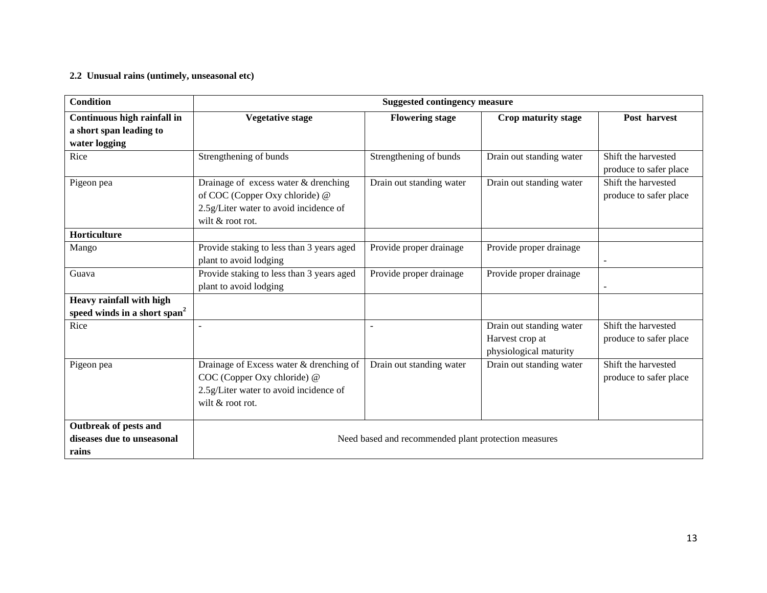#### **2.2 Unusual rains (untimely, unseasonal etc)**

| <b>Condition</b>                         | <b>Suggested contingency measure</b>      |                                                      |                          |                          |  |  |
|------------------------------------------|-------------------------------------------|------------------------------------------------------|--------------------------|--------------------------|--|--|
| Continuous high rainfall in              | <b>Vegetative stage</b>                   | <b>Flowering stage</b>                               | Crop maturity stage      | Post harvest             |  |  |
| a short span leading to                  |                                           |                                                      |                          |                          |  |  |
| water logging                            |                                           |                                                      |                          |                          |  |  |
| Rice                                     | Strengthening of bunds                    | Strengthening of bunds                               | Drain out standing water | Shift the harvested      |  |  |
|                                          |                                           |                                                      |                          | produce to safer place   |  |  |
| Pigeon pea                               | Drainage of excess water & drenching      | Drain out standing water                             | Drain out standing water | Shift the harvested      |  |  |
|                                          | of COC (Copper Oxy chloride) @            |                                                      |                          | produce to safer place   |  |  |
|                                          | 2.5g/Liter water to avoid incidence of    |                                                      |                          |                          |  |  |
|                                          | wilt $&$ root rot.                        |                                                      |                          |                          |  |  |
| Horticulture                             |                                           |                                                      |                          |                          |  |  |
| Mango                                    | Provide staking to less than 3 years aged | Provide proper drainage                              | Provide proper drainage  |                          |  |  |
|                                          | plant to avoid lodging                    |                                                      |                          | $\overline{\phantom{0}}$ |  |  |
| Guava                                    | Provide staking to less than 3 years aged | Provide proper drainage                              | Provide proper drainage  |                          |  |  |
|                                          | plant to avoid lodging                    |                                                      |                          | ÷.                       |  |  |
| Heavy rainfall with high                 |                                           |                                                      |                          |                          |  |  |
| speed winds in a short span <sup>2</sup> |                                           |                                                      |                          |                          |  |  |
| Rice                                     |                                           |                                                      | Drain out standing water | Shift the harvested      |  |  |
|                                          |                                           |                                                      | Harvest crop at          | produce to safer place   |  |  |
|                                          |                                           |                                                      | physiological maturity   |                          |  |  |
| Pigeon pea                               | Drainage of Excess water & drenching of   | Drain out standing water                             | Drain out standing water | Shift the harvested      |  |  |
|                                          | COC (Copper Oxy chloride) @               |                                                      |                          | produce to safer place   |  |  |
|                                          | 2.5g/Liter water to avoid incidence of    |                                                      |                          |                          |  |  |
|                                          | wilt & root rot.                          |                                                      |                          |                          |  |  |
| Outbreak of pests and                    |                                           |                                                      |                          |                          |  |  |
| diseases due to unseasonal               |                                           | Need based and recommended plant protection measures |                          |                          |  |  |
| rains                                    |                                           |                                                      |                          |                          |  |  |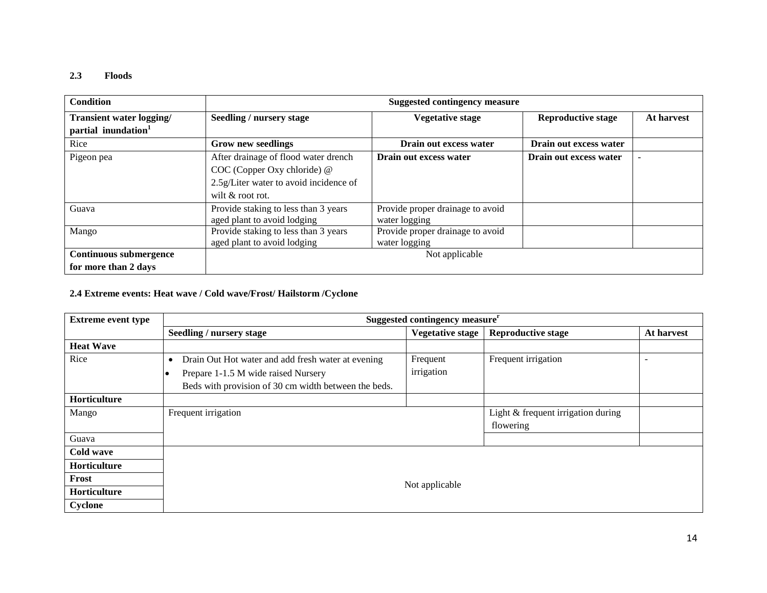#### **2.3 Floods**

| <b>Condition</b>                                            |                                                                                                                                         | <b>Suggested contingency measure</b>              |                           |            |  |  |  |
|-------------------------------------------------------------|-----------------------------------------------------------------------------------------------------------------------------------------|---------------------------------------------------|---------------------------|------------|--|--|--|
| Transient water logging/<br>partial inundation <sup>1</sup> | Seedling / nursery stage                                                                                                                | <b>Vegetative stage</b>                           | <b>Reproductive stage</b> | At harvest |  |  |  |
| Rice                                                        | <b>Grow new seedlings</b>                                                                                                               | Drain out excess water                            | Drain out excess water    |            |  |  |  |
| Pigeon pea                                                  | After drainage of flood water drench<br>$COC$ (Copper Oxy chloride) $@$<br>2.5g/Liter water to avoid incidence of<br>wilt $&$ root rot. | Drain out excess water                            | Drain out excess water    | -          |  |  |  |
| Guava                                                       | Provide staking to less than 3 years<br>aged plant to avoid lodging                                                                     | Provide proper drainage to avoid<br>water logging |                           |            |  |  |  |
| Mango                                                       | Provide staking to less than 3 years<br>aged plant to avoid lodging                                                                     | Provide proper drainage to avoid<br>water logging |                           |            |  |  |  |
| Continuous submergence                                      |                                                                                                                                         | Not applicable                                    |                           |            |  |  |  |
| for more than 2 days                                        |                                                                                                                                         |                                                   |                           |            |  |  |  |

## **2.4 Extreme events: Heat wave / Cold wave/Frost/ Hailstorm /Cyclone**

| <b>Extreme event type</b> | Suggested contingency measure <sup>r</sup>                                                                                                                     |                         |                                                 |                          |
|---------------------------|----------------------------------------------------------------------------------------------------------------------------------------------------------------|-------------------------|-------------------------------------------------|--------------------------|
|                           | Seedling / nursery stage                                                                                                                                       | <b>Vegetative stage</b> | <b>Reproductive stage</b>                       | At harvest               |
| <b>Heat Wave</b>          |                                                                                                                                                                |                         |                                                 |                          |
| Rice                      | Drain Out Hot water and add fresh water at evening<br>$\bullet$<br>Prepare 1-1.5 M wide raised Nursery<br>Beds with provision of 30 cm width between the beds. | Frequent<br>irrigation  | Frequent irrigation                             | $\overline{\phantom{0}}$ |
| Horticulture              |                                                                                                                                                                |                         |                                                 |                          |
| Mango                     | Frequent irrigation                                                                                                                                            |                         | Light & frequent irrigation during<br>flowering |                          |
| Guava                     |                                                                                                                                                                |                         |                                                 |                          |
| Cold wave                 |                                                                                                                                                                |                         |                                                 |                          |
| Horticulture              |                                                                                                                                                                |                         |                                                 |                          |
| Frost                     |                                                                                                                                                                |                         |                                                 |                          |
| Horticulture              | Not applicable                                                                                                                                                 |                         |                                                 |                          |
| Cyclone                   |                                                                                                                                                                |                         |                                                 |                          |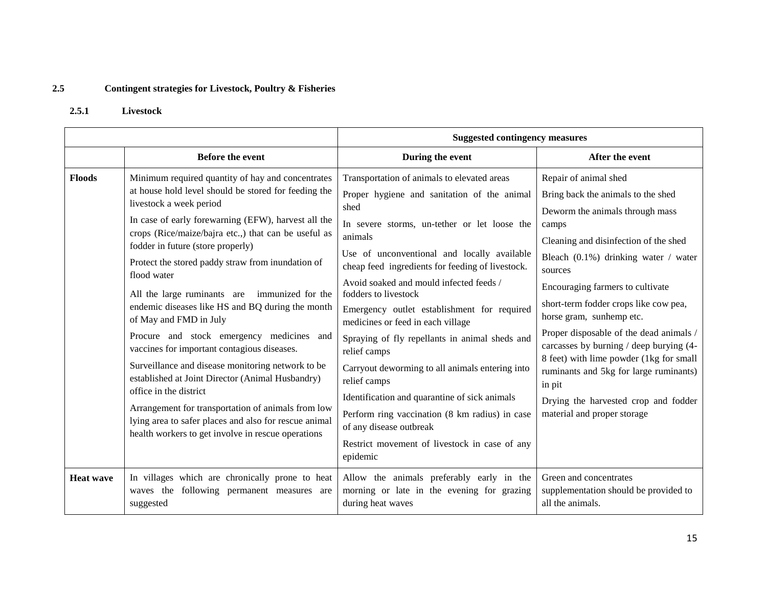# **2.5 Contingent strategies for Livestock, Poultry & Fisheries**

### **2.5.1 Livestock**

|                  |                                                                                                                                                                                                                                                                                                                                                                                                                                                                                                                                                                                                                                                                                                                                                                                                                                                                                                 | <b>Suggested contingency measures</b>                                                                                                                                                                                                                                                                                                                                                                                                                                                                                                                                                                                                                                                                                                                   |                                                                                                                                                                                                                                                                                                                                                                                                                                                                                                                                                                          |  |
|------------------|-------------------------------------------------------------------------------------------------------------------------------------------------------------------------------------------------------------------------------------------------------------------------------------------------------------------------------------------------------------------------------------------------------------------------------------------------------------------------------------------------------------------------------------------------------------------------------------------------------------------------------------------------------------------------------------------------------------------------------------------------------------------------------------------------------------------------------------------------------------------------------------------------|---------------------------------------------------------------------------------------------------------------------------------------------------------------------------------------------------------------------------------------------------------------------------------------------------------------------------------------------------------------------------------------------------------------------------------------------------------------------------------------------------------------------------------------------------------------------------------------------------------------------------------------------------------------------------------------------------------------------------------------------------------|--------------------------------------------------------------------------------------------------------------------------------------------------------------------------------------------------------------------------------------------------------------------------------------------------------------------------------------------------------------------------------------------------------------------------------------------------------------------------------------------------------------------------------------------------------------------------|--|
|                  | <b>Before the event</b>                                                                                                                                                                                                                                                                                                                                                                                                                                                                                                                                                                                                                                                                                                                                                                                                                                                                         | During the event                                                                                                                                                                                                                                                                                                                                                                                                                                                                                                                                                                                                                                                                                                                                        | After the event                                                                                                                                                                                                                                                                                                                                                                                                                                                                                                                                                          |  |
| <b>Floods</b>    | Minimum required quantity of hay and concentrates<br>at house hold level should be stored for feeding the<br>livestock a week period<br>In case of early forewarning (EFW), harvest all the<br>crops (Rice/maize/bajra etc.,) that can be useful as<br>fodder in future (store properly)<br>Protect the stored paddy straw from inundation of<br>flood water<br>All the large ruminants are immunized for the<br>endemic diseases like HS and BQ during the month<br>of May and FMD in July<br>Procure and stock emergency medicines and<br>vaccines for important contagious diseases.<br>Surveillance and disease monitoring network to be<br>established at Joint Director (Animal Husbandry)<br>office in the district<br>Arrangement for transportation of animals from low<br>lying area to safer places and also for rescue animal<br>health workers to get involve in rescue operations | Transportation of animals to elevated areas<br>Proper hygiene and sanitation of the animal<br>shed<br>In severe storms, un-tether or let loose the<br>animals<br>Use of unconventional and locally available<br>cheap feed ingredients for feeding of livestock.<br>Avoid soaked and mould infected feeds /<br>fodders to livestock<br>Emergency outlet establishment for required<br>medicines or feed in each village<br>Spraying of fly repellants in animal sheds and<br>relief camps<br>Carryout deworming to all animals entering into<br>relief camps<br>Identification and quarantine of sick animals<br>Perform ring vaccination (8 km radius) in case<br>of any disease outbreak<br>Restrict movement of livestock in case of any<br>epidemic | Repair of animal shed<br>Bring back the animals to the shed<br>Deworm the animals through mass<br>camps<br>Cleaning and disinfection of the shed<br>Bleach (0.1%) drinking water / water<br>sources<br>Encouraging farmers to cultivate<br>short-term fodder crops like cow pea,<br>horse gram, sunhemp etc.<br>Proper disposable of the dead animals /<br>carcasses by burning / deep burying (4-<br>8 feet) with lime powder (1kg for small<br>ruminants and 5kg for large ruminants)<br>in pit<br>Drying the harvested crop and fodder<br>material and proper storage |  |
| <b>Heat wave</b> | In villages which are chronically prone to heat<br>waves the following permanent measures are<br>suggested                                                                                                                                                                                                                                                                                                                                                                                                                                                                                                                                                                                                                                                                                                                                                                                      | Allow the animals preferably early in the<br>morning or late in the evening for grazing<br>during heat waves                                                                                                                                                                                                                                                                                                                                                                                                                                                                                                                                                                                                                                            | Green and concentrates<br>supplementation should be provided to<br>all the animals.                                                                                                                                                                                                                                                                                                                                                                                                                                                                                      |  |

15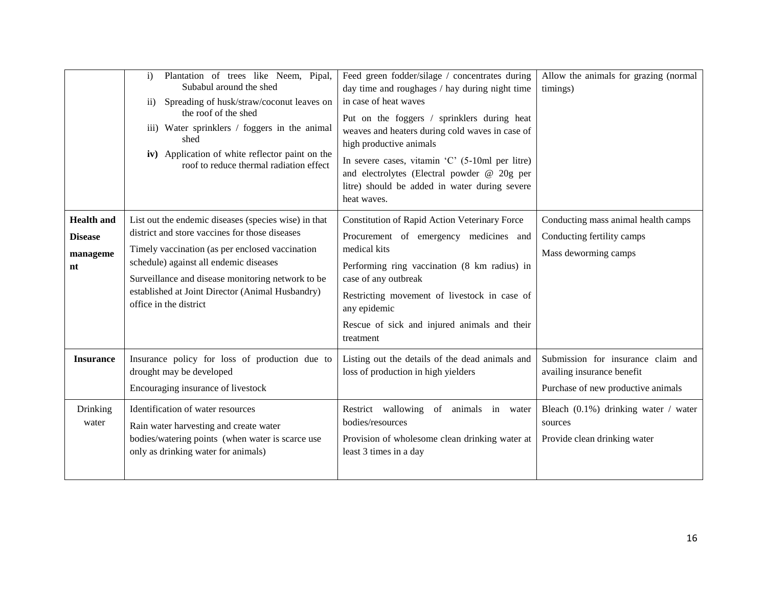|                                                       | Plantation of trees like Neem, Pipal,<br>$\mathbf{i}$<br>Subabul around the shed<br>Spreading of husk/straw/coconut leaves on<br>$\overline{11}$ )<br>the roof of the shed<br>iii) Water sprinklers / foggers in the animal<br>shed<br>iv) Application of white reflector paint on the<br>roof to reduce thermal radiation effect      | Feed green fodder/silage / concentrates during<br>day time and roughages / hay during night time<br>in case of heat waves<br>Put on the foggers / sprinklers during heat<br>weaves and heaters during cold waves in case of<br>high productive animals<br>In severe cases, vitamin $^{\circ}C^{\circ}$ (5-10ml per litre)<br>and electrolytes (Electral powder @ 20g per<br>litre) should be added in water during severe<br>heat waves. | Allow the animals for grazing (normal<br>timings)                                                      |
|-------------------------------------------------------|----------------------------------------------------------------------------------------------------------------------------------------------------------------------------------------------------------------------------------------------------------------------------------------------------------------------------------------|------------------------------------------------------------------------------------------------------------------------------------------------------------------------------------------------------------------------------------------------------------------------------------------------------------------------------------------------------------------------------------------------------------------------------------------|--------------------------------------------------------------------------------------------------------|
| <b>Health and</b><br><b>Disease</b><br>manageme<br>nt | List out the endemic diseases (species wise) in that<br>district and store vaccines for those diseases<br>Timely vaccination (as per enclosed vaccination<br>schedule) against all endemic diseases<br>Surveillance and disease monitoring network to be<br>established at Joint Director (Animal Husbandry)<br>office in the district | Constitution of Rapid Action Veterinary Force<br>Procurement of emergency medicines and<br>medical kits<br>Performing ring vaccination (8 km radius) in<br>case of any outbreak<br>Restricting movement of livestock in case of<br>any epidemic<br>Rescue of sick and injured animals and their<br>treatment                                                                                                                             | Conducting mass animal health camps<br>Conducting fertility camps<br>Mass deworming camps              |
| <b>Insurance</b>                                      | Insurance policy for loss of production due to<br>drought may be developed<br>Encouraging insurance of livestock                                                                                                                                                                                                                       | Listing out the details of the dead animals and<br>loss of production in high yielders                                                                                                                                                                                                                                                                                                                                                   | Submission for insurance claim and<br>availing insurance benefit<br>Purchase of new productive animals |
| Drinking<br>water                                     | Identification of water resources<br>Rain water harvesting and create water<br>bodies/watering points (when water is scarce use<br>only as drinking water for animals)                                                                                                                                                                 | Restrict wallowing of animals in water<br>bodies/resources<br>Provision of wholesome clean drinking water at<br>least 3 times in a day                                                                                                                                                                                                                                                                                                   | Bleach $(0.1\%)$ drinking water / water<br>sources<br>Provide clean drinking water                     |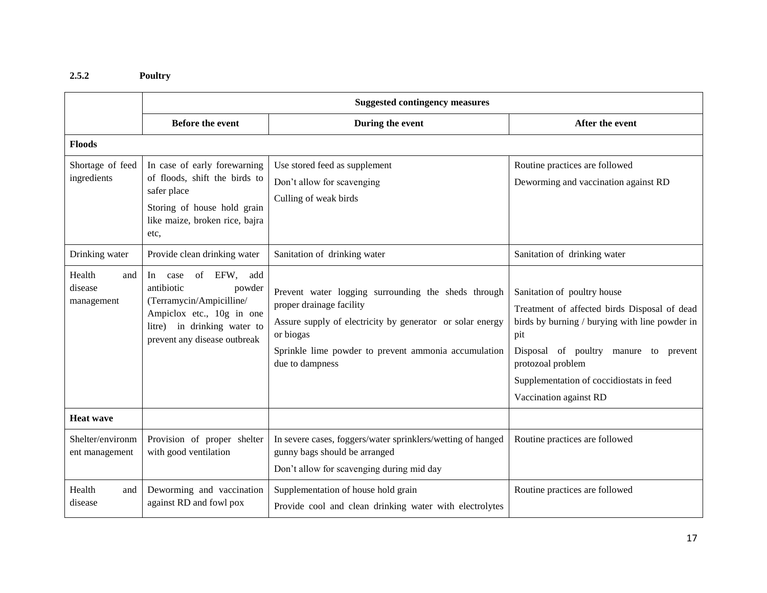## **2.5.2 Poultry**

|                                        | <b>Suggested contingency measures</b>                                                                                                                                     |                                                                                                                                                                                                                                      |                                                                                                                                                                                                                                                                          |  |
|----------------------------------------|---------------------------------------------------------------------------------------------------------------------------------------------------------------------------|--------------------------------------------------------------------------------------------------------------------------------------------------------------------------------------------------------------------------------------|--------------------------------------------------------------------------------------------------------------------------------------------------------------------------------------------------------------------------------------------------------------------------|--|
|                                        | <b>Before the event</b>                                                                                                                                                   | During the event                                                                                                                                                                                                                     | After the event                                                                                                                                                                                                                                                          |  |
| <b>Floods</b>                          |                                                                                                                                                                           |                                                                                                                                                                                                                                      |                                                                                                                                                                                                                                                                          |  |
| Shortage of feed<br>ingredients        | In case of early forewarning<br>of floods, shift the birds to<br>safer place<br>Storing of house hold grain<br>like maize, broken rice, bajra<br>etc,                     | Use stored feed as supplement<br>Don't allow for scavenging<br>Culling of weak birds                                                                                                                                                 | Routine practices are followed<br>Deworming and vaccination against RD                                                                                                                                                                                                   |  |
| Drinking water                         | Provide clean drinking water                                                                                                                                              | Sanitation of drinking water                                                                                                                                                                                                         | Sanitation of drinking water                                                                                                                                                                                                                                             |  |
| Health<br>and<br>disease<br>management | of EFW, add<br>In<br>case<br>antibiotic<br>powder<br>(Terramycin/Ampicilline/<br>Ampiclox etc., 10g in one<br>litre) in drinking water to<br>prevent any disease outbreak | Prevent water logging surrounding the sheds through<br>proper drainage facility<br>Assure supply of electricity by generator or solar energy<br>or biogas<br>Sprinkle lime powder to prevent ammonia accumulation<br>due to dampness | Sanitation of poultry house<br>Treatment of affected birds Disposal of dead<br>birds by burning / burying with line powder in<br>pit<br>Disposal of poultry manure to prevent<br>protozoal problem<br>Supplementation of coccidiostats in feed<br>Vaccination against RD |  |
| <b>Heat wave</b>                       |                                                                                                                                                                           |                                                                                                                                                                                                                                      |                                                                                                                                                                                                                                                                          |  |
| Shelter/environm<br>ent management     | Provision of proper shelter<br>with good ventilation                                                                                                                      | In severe cases, foggers/water sprinklers/wetting of hanged<br>gunny bags should be arranged<br>Don't allow for scavenging during mid day                                                                                            | Routine practices are followed                                                                                                                                                                                                                                           |  |
| Health<br>and<br>disease               | Deworming and vaccination<br>against RD and fowl pox                                                                                                                      | Supplementation of house hold grain<br>Provide cool and clean drinking water with electrolytes                                                                                                                                       | Routine practices are followed                                                                                                                                                                                                                                           |  |